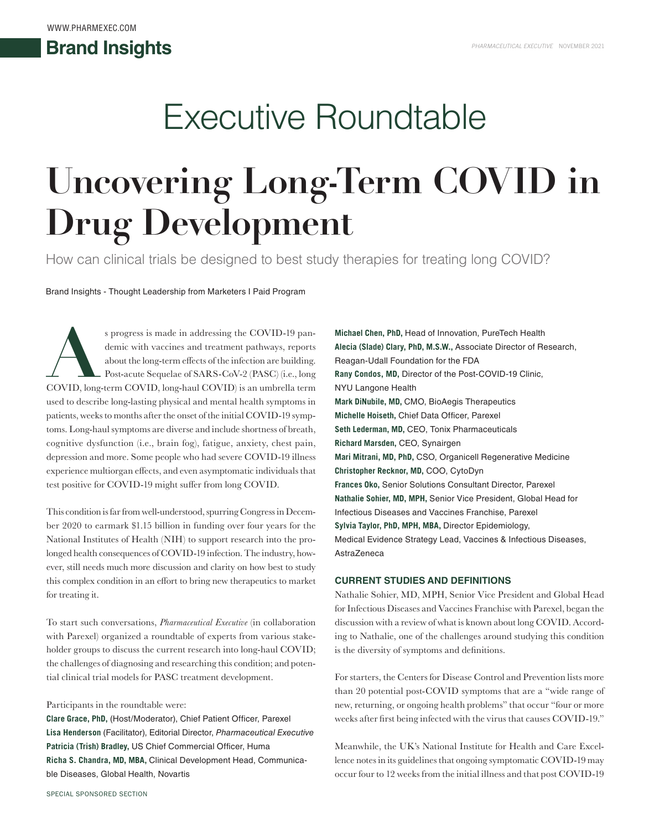# Executive Roundtable

# **Uncovering Long-Term COVID in Drug Development**

How can clinical trials be designed to best study therapies for treating long COVID?

Brand Insights - Thought Leadership from Marketers I Paid Program

s progress is made in addressing the COVID-19 pan-<br>demic with vaccines and treatment pathways, reports<br>about the long-term effects of the infection are building.<br>Post-acute Sequelae of SARS-CoV-2 (PASC) (i.e., long<br>COVID, demic with vaccines and treatment pathways, reports about the long-term effects of the infection are building. Post-acute Sequelae of SARS-CoV-2 (PASC) (i.e., long used to describe long-lasting physical and mental health symptoms in patients, weeks to months after the onset of the initial COVID-19 symptoms. Long-haul symptoms are diverse and include shortness of breath, cognitive dysfunction (i.e., brain fog), fatigue, anxiety, chest pain, depression and more. Some people who had severe COVID-19 illness experience multiorgan effects, and even asymptomatic individuals that test positive for COVID-19 might suffer from long COVID.

This condition is far from well-understood, spurring Congress in December 2020 to earmark \$1.15 billion in funding over four years for the National Institutes of Health (NIH) to support research into the prolonged health consequences of COVID-19 infection. The industry, however, still needs much more discussion and clarity on how best to study this complex condition in an effort to bring new therapeutics to market for treating it.

To start such conversations, *Pharmaceutical Executive* (in collaboration with Parexel) organized a roundtable of experts from various stakeholder groups to discuss the current research into long-haul COVID; the challenges of diagnosing and researching this condition; and potential clinical trial models for PASC treatment development.

#### Participants in the roundtable were:

**Clare Grace, PhD,** (Host/Moderator), Chief Patient Officer, Parexel **Lisa Henderson** (Facilitator), Editorial Director, *Pharmaceutical Executive* **Patricia (Trish) Bradley,** US Chief Commercial Officer, Huma **Richa S. Chandra, MD, MBA,** Clinical Development Head, Communicable Diseases, Global Health, Novartis

**Michael Chen, PhD,** Head of Innovation, PureTech Health **Alecia (Slade) Clary, PhD, M.S.W.,** Associate Director of Research, Reagan-Udall Foundation for the FDA **Rany Condos, MD,** Director of the Post-COVID-19 Clinic, NYU Langone Health **Mark DiNubile, MD,** CMO, BioAegis Therapeutics **Michelle Hoiseth,** Chief Data Officer, Parexel **Seth Lederman, MD,** CEO, Tonix Pharmaceuticals **Richard Marsden,** CEO, Synairgen **Mari Mitrani, MD, PhD,** CSO, Organicell Regenerative Medicine **Christopher Recknor, MD,** COO, CytoDyn **Frances Oko,** Senior Solutions Consultant Director, Parexel **Nathalie Sohier, MD, MPH,** Senior Vice President, Global Head for Infectious Diseases and Vaccines Franchise, Parexel **Sylvia Taylor, PhD, MPH, MBA,** Director Epidemiology, Medical Evidence Strategy Lead, Vaccines & Infectious Diseases, AstraZeneca

#### **CURRENT STUDIES AND DEFINITIONS**

Nathalie Sohier, MD, MPH, Senior Vice President and Global Head for Infectious Diseases and Vaccines Franchise with Parexel, began the discussion with a review of what is known about long COVID. According to Nathalie, one of the challenges around studying this condition is the diversity of symptoms and definitions.

For starters, the Centers for Disease Control and Prevention lists more than 20 potential post-COVID symptoms that are a "wide range of new, returning, or ongoing health problems" that occur "four or more weeks after first being infected with the virus that causes COVID-19."

Meanwhile, the UK's National Institute for Health and Care Excellence notes in its guidelines that ongoing symptomatic COVID-19 may occur four to 12 weeks from the initial illness and that post COVID-19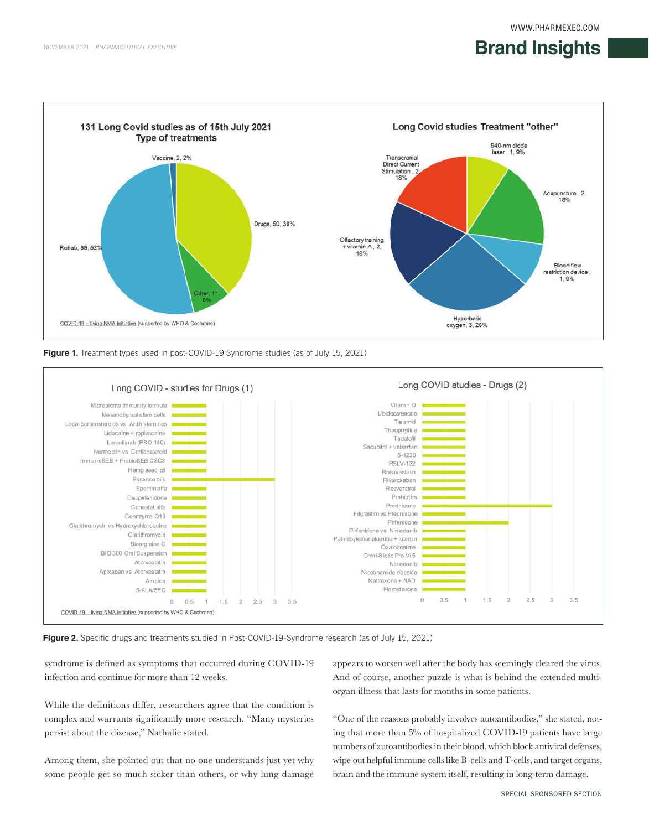#### **Brand Insights Brand Insights Brand Insights**







**Figure 2.** Specific drugs and treatments studied in Post-COVID-19-Syndrome research (as of July 15, 2021)

syndrome is defined as symptoms that occurred during COVID-19 infection and continue for more than 12 weeks.

While the definitions differ, researchers agree that the condition is complex and warrants significantly more research. "Many mysteries persist about the disease," Nathalie stated.

Among them, she pointed out that no one understands just yet why some people get so much sicker than others, or why lung damage

appears to worsen well after the body has seemingly cleared the virus. And of course, another puzzle is what is behind the extended multiorgan illness that lasts for months in some patients.

"One of the reasons probably involves autoantibodies," she stated, noting that more than 5% of hospitalized COVID-19 patients have large numbers of autoantibodies in their blood, which block antiviral defenses, wipe out helpful immune cells like B-cells and T-cells, and target organs, brain and the immune system itself, resulting in long-term damage.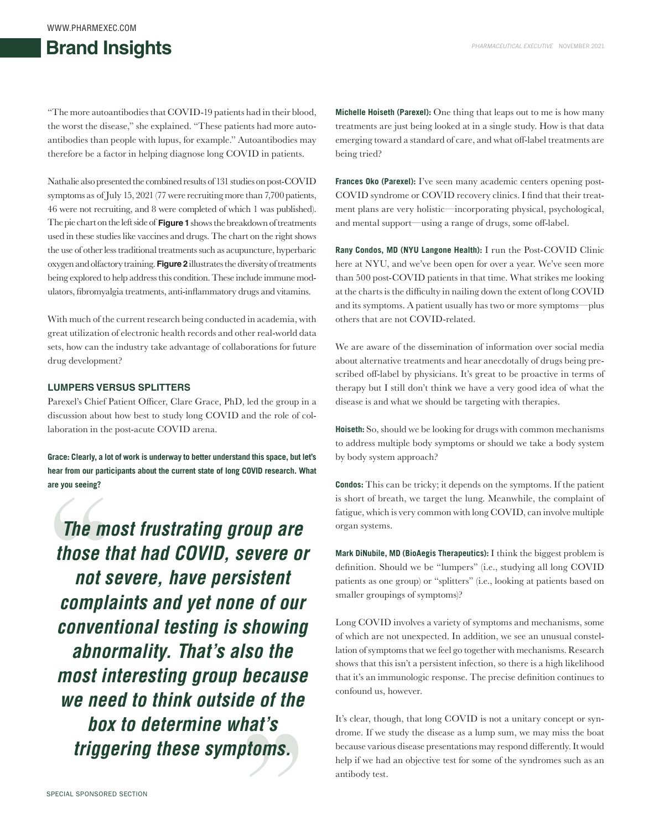## **Brand Insights 1818 Brand Insights 1818 Brand Insights 1818 Brand Insights 1818 Brand Insights 1988 Brand Insights 1988 Brand Insights 1988 Brand Insights 1998 Brand Insights 1998 Brand**

"The more autoantibodies that COVID-19 patients had in their blood, the worst the disease," she explained. "These patients had more autoantibodies than people with lupus, for example." Autoantibodies may therefore be a factor in helping diagnose long COVID in patients.

Nathalie also presented the combined results of 131 studies on post-COVID symptoms as of July 15, 2021 (77 were recruiting more than 7,700 patients, 46 were not recruiting, and 8 were completed of which 1 was published). The pie chart on the left side of **Figure 1** shows the breakdown of treatments used in these studies like vaccines and drugs. The chart on the right shows the use of other less traditional treatments such as acupuncture, hyperbaric oxygen and olfactory training. **Figure 2** illustrates the diversity of treatments being explored to help address this condition. These include immune modulators, fibromyalgia treatments, anti-inflammatory drugs and vitamins.

With much of the current research being conducted in academia, with great utilization of electronic health records and other real-world data sets, how can the industry take advantage of collaborations for future drug development?

#### **LUMPERS VERSUS SPLITTERS**

Parexel's Chief Patient Officer, Clare Grace, PhD, led the group in a discussion about how best to study long COVID and the role of collaboration in the post-acute COVID arena.

**Grace: Clearly, a lot of work is underway to better understand this space, but let's hear from our participants about the current state of long COVID research. What are you seeing?**

*The most frustrating group are those that had COVID, severe or not severe, have persistent complaints and yet none of our conventional testing is showing abnormality. That's also the most interesting group because we need to think outside of the box to determine what's triggering these symptoms.*

**Michelle Hoiseth (Parexel):** One thing that leaps out to me is how many treatments are just being looked at in a single study. How is that data emerging toward a standard of care, and what off-label treatments are being tried?

**Frances Oko (Parexel):** I've seen many academic centers opening post-COVID syndrome or COVID recovery clinics. I find that their treatment plans are very holistic—incorporating physical, psychological, and mental support—using a range of drugs, some off-label.

**Rany Condos, MD (NYU Langone Health):** I run the Post-COVID Clinic here at NYU, and we've been open for over a year. We've seen more than 500 post-COVID patients in that time. What strikes me looking at the charts is the difficulty in nailing down the extent of long COVID and its symptoms. A patient usually has two or more symptoms—plus others that are not COVID-related.

We are aware of the dissemination of information over social media about alternative treatments and hear anecdotally of drugs being prescribed off-label by physicians. It's great to be proactive in terms of therapy but I still don't think we have a very good idea of what the disease is and what we should be targeting with therapies.

**Hoiseth:** So, should we be looking for drugs with common mechanisms to address multiple body symptoms or should we take a body system by body system approach?

**Condos:** This can be tricky; it depends on the symptoms. If the patient is short of breath, we target the lung. Meanwhile, the complaint of fatigue, which is very common with long COVID, can involve multiple organ systems.

**Mark DiNubile, MD (BioAegis Therapeutics):** I think the biggest problem is definition. Should we be "lumpers" (i.e., studying all long COVID patients as one group) or "splitters" (i.e., looking at patients based on smaller groupings of symptoms)?

Long COVID involves a variety of symptoms and mechanisms, some of which are not unexpected. In addition, we see an unusual constellation of symptoms that we feel go together with mechanisms. Research shows that this isn't a persistent infection, so there is a high likelihood that it's an immunologic response. The precise definition continues to confound us, however.

It's clear, though, that long COVID is not a unitary concept or syndrome. If we study the disease as a lump sum, we may miss the boat because various disease presentations may respond differently. It would help if we had an objective test for some of the syndromes such as an antibody test.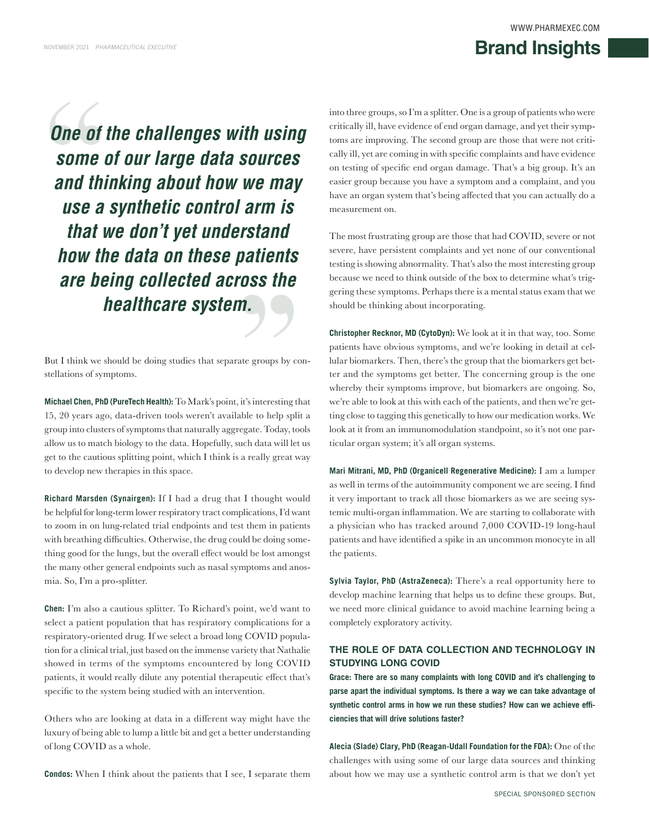#### **Brand Insights** WWW.PHARMEXEC.COM **Brand Insights Definition**  $\frac{1}{2}$  **1818 Brand Insights**

*One of the challenges with using some of our large data sources and thinking about how we may use a synthetic control arm is that we don't yet understand how the data on these patients are being collected across the healthcare system.*

But I think we should be doing studies that separate groups by constellations of symptoms.

**Michael Chen, PhD (PureTech Health):** To Mark's point, it's interesting that 15, 20 years ago, data-driven tools weren't available to help split a group into clusters of symptoms that naturally aggregate. Today, tools allow us to match biology to the data. Hopefully, such data will let us get to the cautious splitting point, which I think is a really great way to develop new therapies in this space.

**Richard Marsden (Synairgen):** If I had a drug that I thought would be helpful for long-term lower respiratory tract complications, I'd want to zoom in on lung-related trial endpoints and test them in patients with breathing difficulties. Otherwise, the drug could be doing something good for the lungs, but the overall effect would be lost amongst the many other general endpoints such as nasal symptoms and anosmia. So, I'm a pro-splitter.

**Chen:** I'm also a cautious splitter. To Richard's point, we'd want to select a patient population that has respiratory complications for a respiratory-oriented drug. If we select a broad long COVID population for a clinical trial, just based on the immense variety that Nathalie showed in terms of the symptoms encountered by long COVID patients, it would really dilute any potential therapeutic effect that's specific to the system being studied with an intervention.

Others who are looking at data in a different way might have the luxury of being able to lump a little bit and get a better understanding of long COVID as a whole.

**Condos:** When I think about the patients that I see, I separate them

into three groups, so I'm a splitter. One is a group of patients who were critically ill, have evidence of end organ damage, and yet their symptoms are improving. The second group are those that were not critically ill, yet are coming in with specific complaints and have evidence on testing of specific end organ damage. That's a big group. It's an easier group because you have a symptom and a complaint, and you have an organ system that's being affected that you can actually do a measurement on.

The most frustrating group are those that had COVID, severe or not severe, have persistent complaints and yet none of our conventional testing is showing abnormality. That's also the most interesting group because we need to think outside of the box to determine what's triggering these symptoms. Perhaps there is a mental status exam that we should be thinking about incorporating.

**Christopher Recknor, MD (CytoDyn):** We look at it in that way, too. Some patients have obvious symptoms, and we're looking in detail at cellular biomarkers. Then, there's the group that the biomarkers get better and the symptoms get better. The concerning group is the one whereby their symptoms improve, but biomarkers are ongoing. So, we're able to look at this with each of the patients, and then we're getting close to tagging this genetically to how our medication works. We look at it from an immunomodulation standpoint, so it's not one particular organ system; it's all organ systems.

**Mari Mitrani, MD, PhD (Organicell Regenerative Medicine):** I am a lumper as well in terms of the autoimmunity component we are seeing. I find it very important to track all those biomarkers as we are seeing systemic multi-organ inflammation. We are starting to collaborate with a physician who has tracked around 7,000 COVID-19 long-haul patients and have identified a spike in an uncommon monocyte in all the patients.

**Sylvia Taylor, PhD (AstraZeneca):** There's a real opportunity here to develop machine learning that helps us to define these groups. But, we need more clinical guidance to avoid machine learning being a completely exploratory activity.

#### **THE ROLE OF DATA COLLECTION AND TECHNOLOGY IN STUDYING LONG COVID**

**Grace: There are so many complaints with long COVID and it's challenging to parse apart the individual symptoms. Is there a way we can take advantage of synthetic control arms in how we run these studies? How can we achieve efficiencies that will drive solutions faster?**

**Alecia (Slade) Clary, PhD (Reagan-Udall Foundation for the FDA):** One of the challenges with using some of our large data sources and thinking about how we may use a synthetic control arm is that we don't yet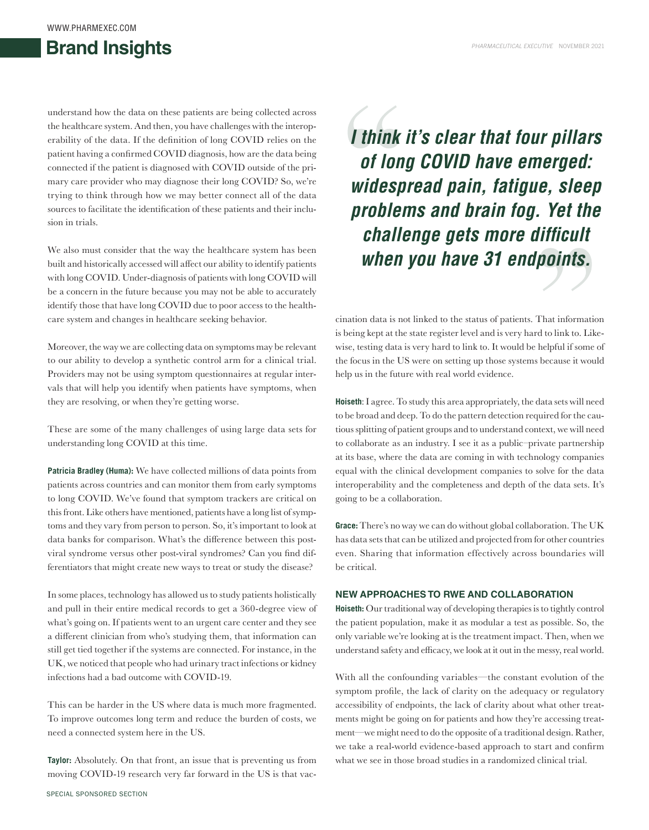#### WWW.PHARMEXEC.COM

### **Brand Insights 2021 Brand Insights 2021 Brand Insights 2021 Brand Insights 2021**

understand how the data on these patients are being collected across the healthcare system. And then, you have challenges with the interoperability of the data. If the definition of long COVID relies on the patient having a confirmed COVID diagnosis, how are the data being connected if the patient is diagnosed with COVID outside of the primary care provider who may diagnose their long COVID? So, we're trying to think through how we may better connect all of the data sources to facilitate the identification of these patients and their inclusion in trials.

We also must consider that the way the healthcare system has been built and historically accessed will affect our ability to identify patients with long COVID. Under-diagnosis of patients with long COVID will be a concern in the future because you may not be able to accurately identify those that have long COVID due to poor access to the healthcare system and changes in healthcare seeking behavior.

Moreover, the way we are collecting data on symptoms may be relevant to our ability to develop a synthetic control arm for a clinical trial. Providers may not be using symptom questionnaires at regular intervals that will help you identify when patients have symptoms, when they are resolving, or when they're getting worse.

These are some of the many challenges of using large data sets for understanding long COVID at this time.

**Patricia Bradley (Huma):** We have collected millions of data points from patients across countries and can monitor them from early symptoms to long COVID. We've found that symptom trackers are critical on this front. Like others have mentioned, patients have a long list of symptoms and they vary from person to person. So, it's important to look at data banks for comparison. What's the difference between this postviral syndrome versus other post-viral syndromes? Can you find differentiators that might create new ways to treat or study the disease?

In some places, technology has allowed us to study patients holistically and pull in their entire medical records to get a 360-degree view of what's going on. If patients went to an urgent care center and they see a different clinician from who's studying them, that information can still get tied together if the systems are connected. For instance, in the UK, we noticed that people who had urinary tract infections or kidney infections had a bad outcome with COVID-19.

This can be harder in the US where data is much more fragmented. To improve outcomes long term and reduce the burden of costs, we need a connected system here in the US.

**Taylor:** Absolutely. On that front, an issue that is preventing us from moving COVID-19 research very far forward in the US is that vac*I think it's clear that four pillars of long COVID have emerged: widespread pain, fatigue, sleep problems and brain fog. Yet the challenge gets more difficult when you have 31 endpoints.*

cination data is not linked to the status of patients. That information is being kept at the state register level and is very hard to link to. Likewise, testing data is very hard to link to. It would be helpful if some of the focus in the US were on setting up those systems because it would help us in the future with real world evidence.

**Hoiseth**: I agree. To study this area appropriately, the data sets will need to be broad and deep. To do the pattern detection required for the cautious splitting of patient groups and to understand context, we will need to collaborate as an industry. I see it as a public–private partnership at its base, where the data are coming in with technology companies equal with the clinical development companies to solve for the data interoperability and the completeness and depth of the data sets. It's going to be a collaboration.

**Grace:** There's no way we can do without global collaboration. The UK has data sets that can be utilized and projected from for other countries even. Sharing that information effectively across boundaries will be critical.

#### **NEW APPROACHES TO RWE AND COLLABORATION**

**Hoiseth:** Our traditional way of developing therapies is to tightly control the patient population, make it as modular a test as possible. So, the only variable we're looking at is the treatment impact. Then, when we understand safety and efficacy, we look at it out in the messy, real world.

With all the confounding variables—the constant evolution of the symptom profile, the lack of clarity on the adequacy or regulatory accessibility of endpoints, the lack of clarity about what other treatments might be going on for patients and how they're accessing treatment—we might need to do the opposite of a traditional design. Rather, we take a real-world evidence-based approach to start and confirm what we see in those broad studies in a randomized clinical trial.